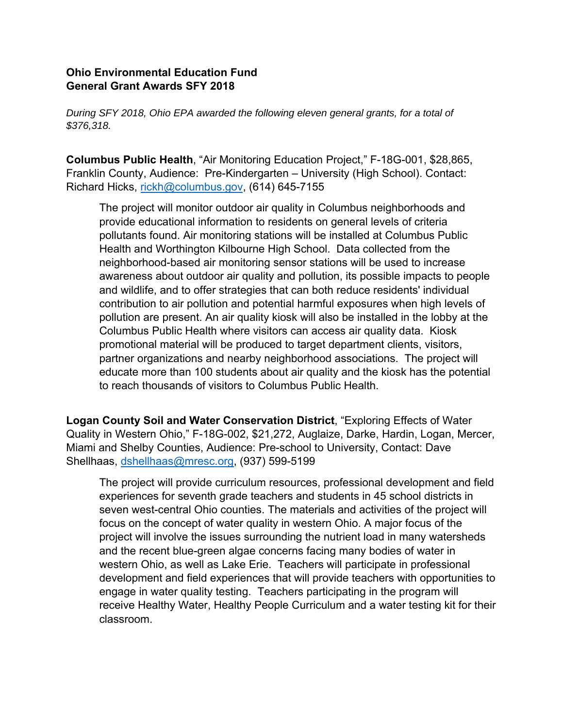## **Ohio Environmental Education Fund General Grant Awards SFY 2018**

*During SFY 2018, Ohio EPA awarded the following eleven general grants, for a total of \$376,318.* 

**Columbus Public Health**, "Air Monitoring Education Project," F-18G-001, \$28,865, Franklin County, Audience: Pre-Kindergarten – University (High School). Contact: Richard Hicks, rickh@columbus.gov, (614) 645-7155

The project will monitor outdoor air quality in Columbus neighborhoods and provide educational information to residents on general levels of criteria pollutants found. Air monitoring stations will be installed at Columbus Public Health and Worthington Kilbourne High School. Data collected from the neighborhood-based air monitoring sensor stations will be used to increase awareness about outdoor air quality and pollution, its possible impacts to people and wildlife, and to offer strategies that can both reduce residents' individual contribution to air pollution and potential harmful exposures when high levels of pollution are present. An air quality kiosk will also be installed in the lobby at the Columbus Public Health where visitors can access air quality data. Kiosk promotional material will be produced to target department clients, visitors, partner organizations and nearby neighborhood associations. The project will educate more than 100 students about air quality and the kiosk has the potential to reach thousands of visitors to Columbus Public Health.

**Logan County Soil and Water Conservation District**, "Exploring Effects of Water Quality in Western Ohio," F-18G-002, \$21,272, Auglaize, Darke, Hardin, Logan, Mercer, Miami and Shelby Counties, Audience: Pre-school to University, Contact: Dave Shellhaas, dshellhaas@mresc.org, (937) 599-5199

The project will provide curriculum resources, professional development and field experiences for seventh grade teachers and students in 45 school districts in seven west-central Ohio counties. The materials and activities of the project will focus on the concept of water quality in western Ohio. A major focus of the project will involve the issues surrounding the nutrient load in many watersheds and the recent blue-green algae concerns facing many bodies of water in western Ohio, as well as Lake Erie. Teachers will participate in professional development and field experiences that will provide teachers with opportunities to engage in water quality testing. Teachers participating in the program will receive Healthy Water, Healthy People Curriculum and a water testing kit for their classroom.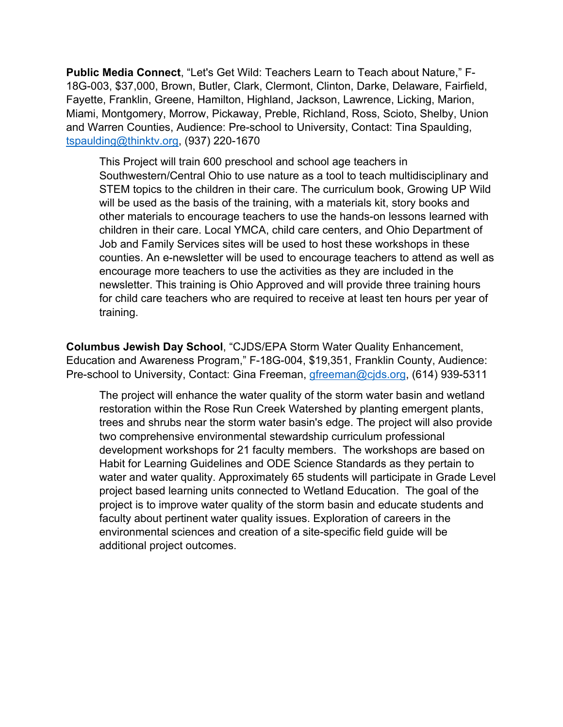**Public Media Connect**, "Let's Get Wild: Teachers Learn to Teach about Nature," F-18G-003, \$37,000, Brown, Butler, Clark, Clermont, Clinton, Darke, Delaware, Fairfield, Fayette, Franklin, Greene, Hamilton, Highland, Jackson, Lawrence, Licking, Marion, Miami, Montgomery, Morrow, Pickaway, Preble, Richland, Ross, Scioto, Shelby, Union and Warren Counties, Audience: Pre-school to University, Contact: Tina Spaulding, tspaulding@thinktv.org, (937) 220-1670

This Project will train 600 preschool and school age teachers in Southwestern/Central Ohio to use nature as a tool to teach multidisciplinary and STEM topics to the children in their care. The curriculum book, Growing UP Wild will be used as the basis of the training, with a materials kit, story books and other materials to encourage teachers to use the hands-on lessons learned with children in their care. Local YMCA, child care centers, and Ohio Department of Job and Family Services sites will be used to host these workshops in these counties. An e-newsletter will be used to encourage teachers to attend as well as encourage more teachers to use the activities as they are included in the newsletter. This training is Ohio Approved and will provide three training hours for child care teachers who are required to receive at least ten hours per year of training.

**Columbus Jewish Day School**, "CJDS/EPA Storm Water Quality Enhancement, Education and Awareness Program," F-18G-004, \$19,351, Franklin County, Audience: Pre-school to University, Contact: Gina Freeman, gfreeman@cjds.org, (614) 939-5311

The project will enhance the water quality of the storm water basin and wetland restoration within the Rose Run Creek Watershed by planting emergent plants, trees and shrubs near the storm water basin's edge. The project will also provide two comprehensive environmental stewardship curriculum professional development workshops for 21 faculty members. The workshops are based on Habit for Learning Guidelines and ODE Science Standards as they pertain to water and water quality. Approximately 65 students will participate in Grade Level project based learning units connected to Wetland Education. The goal of the project is to improve water quality of the storm basin and educate students and faculty about pertinent water quality issues. Exploration of careers in the environmental sciences and creation of a site-specific field guide will be additional project outcomes.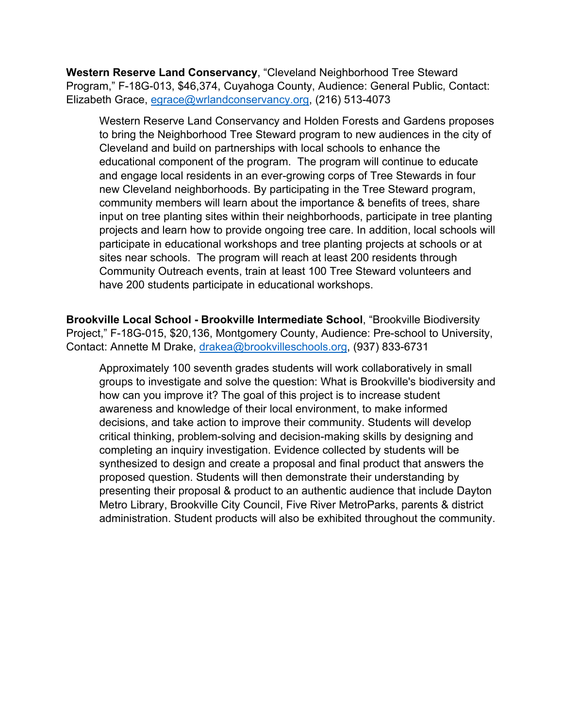**Western Reserve Land Conservancy**, "Cleveland Neighborhood Tree Steward Program," F-18G-013, \$46,374, Cuyahoga County, Audience: General Public, Contact: Elizabeth Grace, egrace@wrlandconservancy.org, (216) 513-4073

Western Reserve Land Conservancy and Holden Forests and Gardens proposes to bring the Neighborhood Tree Steward program to new audiences in the city of Cleveland and build on partnerships with local schools to enhance the educational component of the program. The program will continue to educate and engage local residents in an ever-growing corps of Tree Stewards in four new Cleveland neighborhoods. By participating in the Tree Steward program, community members will learn about the importance & benefits of trees, share input on tree planting sites within their neighborhoods, participate in tree planting projects and learn how to provide ongoing tree care. In addition, local schools will participate in educational workshops and tree planting projects at schools or at sites near schools. The program will reach at least 200 residents through Community Outreach events, train at least 100 Tree Steward volunteers and have 200 students participate in educational workshops.

**Brookville Local School - Brookville Intermediate School**, "Brookville Biodiversity Project," F-18G-015, \$20,136, Montgomery County, Audience: Pre-school to University, Contact: Annette M Drake, drakea@brookvilleschools.org, (937) 833-6731

Approximately 100 seventh grades students will work collaboratively in small groups to investigate and solve the question: What is Brookville's biodiversity and how can you improve it? The goal of this project is to increase student awareness and knowledge of their local environment, to make informed decisions, and take action to improve their community. Students will develop critical thinking, problem-solving and decision-making skills by designing and completing an inquiry investigation. Evidence collected by students will be synthesized to design and create a proposal and final product that answers the proposed question. Students will then demonstrate their understanding by presenting their proposal & product to an authentic audience that include Dayton Metro Library, Brookville City Council, Five River MetroParks, parents & district administration. Student products will also be exhibited throughout the community.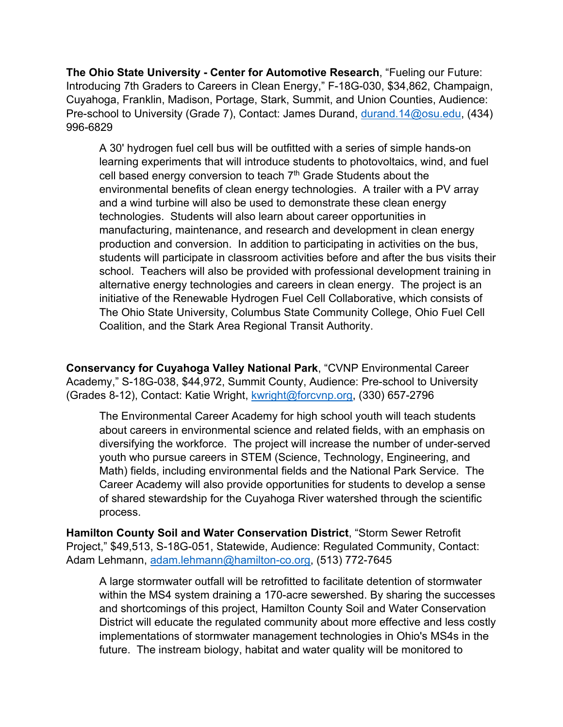**The Ohio State University - Center for Automotive Research**, "Fueling our Future: Introducing 7th Graders to Careers in Clean Energy," F-18G-030, \$34,862, Champaign, Cuyahoga, Franklin, Madison, Portage, Stark, Summit, and Union Counties, Audience: Pre-school to University (Grade 7), Contact: James Durand, durand.14@osu.edu, (434) 996-6829

A 30' hydrogen fuel cell bus will be outfitted with a series of simple hands-on learning experiments that will introduce students to photovoltaics, wind, and fuel cell based energy conversion to teach  $7<sup>th</sup>$  Grade Students about the environmental benefits of clean energy technologies. A trailer with a PV array and a wind turbine will also be used to demonstrate these clean energy technologies. Students will also learn about career opportunities in manufacturing, maintenance, and research and development in clean energy production and conversion. In addition to participating in activities on the bus, students will participate in classroom activities before and after the bus visits their school. Teachers will also be provided with professional development training in alternative energy technologies and careers in clean energy. The project is an initiative of the Renewable Hydrogen Fuel Cell Collaborative, which consists of The Ohio State University, Columbus State Community College, Ohio Fuel Cell Coalition, and the Stark Area Regional Transit Authority.

**Conservancy for Cuyahoga Valley National Park**, "CVNP Environmental Career Academy," S-18G-038, \$44,972, Summit County, Audience: Pre-school to University (Grades 8-12), Contact: Katie Wright, kwright@forcvnp.org, (330) 657-2796

The Environmental Career Academy for high school youth will teach students about careers in environmental science and related fields, with an emphasis on diversifying the workforce. The project will increase the number of under-served youth who pursue careers in STEM (Science, Technology, Engineering, and Math) fields, including environmental fields and the National Park Service. The Career Academy will also provide opportunities for students to develop a sense of shared stewardship for the Cuyahoga River watershed through the scientific process.

**Hamilton County Soil and Water Conservation District**, "Storm Sewer Retrofit Project," \$49,513, S-18G-051, Statewide, Audience: Regulated Community, Contact: Adam Lehmann, adam.lehmann@hamilton-co.org, (513) 772-7645

A large stormwater outfall will be retrofitted to facilitate detention of stormwater within the MS4 system draining a 170-acre sewershed. By sharing the successes and shortcomings of this project, Hamilton County Soil and Water Conservation District will educate the regulated community about more effective and less costly implementations of stormwater management technologies in Ohio's MS4s in the future. The instream biology, habitat and water quality will be monitored to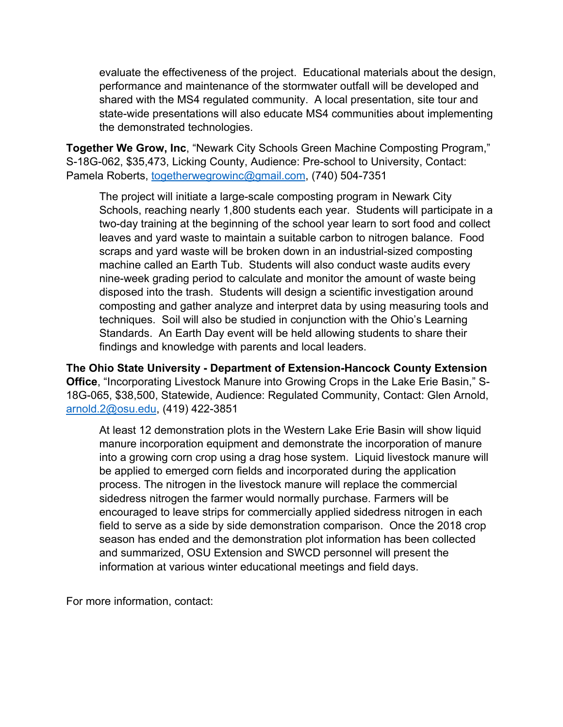evaluate the effectiveness of the project. Educational materials about the design, performance and maintenance of the stormwater outfall will be developed and shared with the MS4 regulated community. A local presentation, site tour and state-wide presentations will also educate MS4 communities about implementing the demonstrated technologies.

**Together We Grow, Inc**, "Newark City Schools Green Machine Composting Program," S-18G-062, \$35,473, Licking County, Audience: Pre-school to University, Contact: Pamela Roberts, togetherwegrowinc@gmail.com, (740) 504-7351

The project will initiate a large-scale composting program in Newark City Schools, reaching nearly 1,800 students each year. Students will participate in a two-day training at the beginning of the school year learn to sort food and collect leaves and yard waste to maintain a suitable carbon to nitrogen balance. Food scraps and yard waste will be broken down in an industrial-sized composting machine called an Earth Tub. Students will also conduct waste audits every nine-week grading period to calculate and monitor the amount of waste being disposed into the trash. Students will design a scientific investigation around composting and gather analyze and interpret data by using measuring tools and techniques. Soil will also be studied in conjunction with the Ohio's Learning Standards. An Earth Day event will be held allowing students to share their findings and knowledge with parents and local leaders.

**The Ohio State University - Department of Extension-Hancock County Extension Office**, "Incorporating Livestock Manure into Growing Crops in the Lake Erie Basin," S-18G-065, \$38,500, Statewide, Audience: Regulated Community, Contact: Glen Arnold, arnold.2@osu.edu, (419) 422-3851

At least 12 demonstration plots in the Western Lake Erie Basin will show liquid manure incorporation equipment and demonstrate the incorporation of manure into a growing corn crop using a drag hose system. Liquid livestock manure will be applied to emerged corn fields and incorporated during the application process. The nitrogen in the livestock manure will replace the commercial sidedress nitrogen the farmer would normally purchase. Farmers will be encouraged to leave strips for commercially applied sidedress nitrogen in each field to serve as a side by side demonstration comparison. Once the 2018 crop season has ended and the demonstration plot information has been collected and summarized, OSU Extension and SWCD personnel will present the information at various winter educational meetings and field days.

For more information, contact: